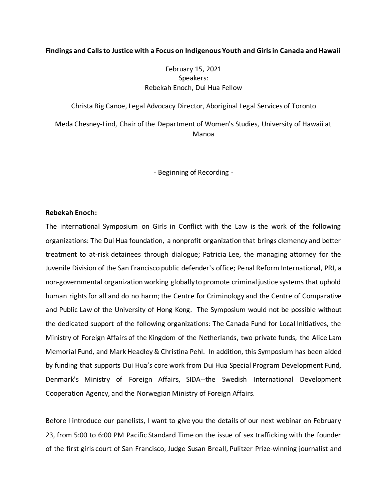## **Findings and Calls to Justice with a Focus on Indigenous Youth and Girls in Canada and Hawaii**

# February 15, 2021 Speakers: Rebekah Enoch, Dui Hua Fellow

Christa Big Canoe, Legal Advocacy Director, Aboriginal Legal Services of Toronto

Meda Chesney-Lind, Chair of the Department of Women's Studies, University of Hawaii at Manoa

- Beginning of Recording -

# **Rebekah Enoch:**

The international Symposium on Girls in Conflict with the Law is the work of the following organizations: The Dui Hua foundation, a nonprofit organization that brings clemency and better treatment to at-risk detainees through dialogue; Patricia Lee, the managing attorney for the Juvenile Division of the San Francisco public defender's office; Penal Reform International, PRI, a non-governmental organization working globally to promote criminal justice systems that uphold human rights for all and do no harm; the Centre for Criminology and the Centre of Comparative and Public Law of the University of Hong Kong. The Symposium would not be possible without the dedicated support of the following organizations: The Canada Fund for Local Initiatives, the Ministry of Foreign Affairs of the Kingdom of the Netherlands, two private funds, the Alice Lam Memorial Fund, and Mark Headley & Christina Pehl. In addition, this Symposium has been aided by funding that supports Dui Hua's core work from Dui Hua Special Program Development Fund, Denmark's Ministry of Foreign Affairs, SIDA--the Swedish International Development Cooperation Agency, and the Norwegian Ministry of Foreign Affairs.

Before I introduce our panelists, I want to give you the details of our next webinar on February 23, from 5:00 to 6:00 PM Pacific Standard Time on the issue of sex trafficking with the founder of the first girls court of San Francisco, Judge Susan Breall, Pulitzer Prize-winning journalist and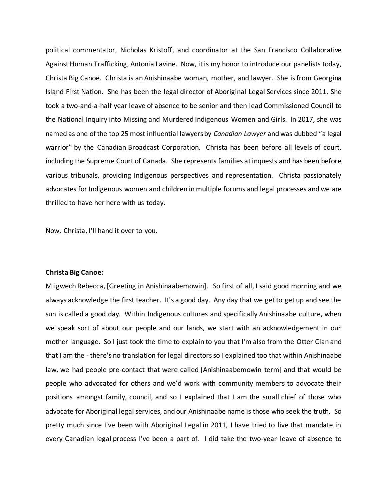political commentator, Nicholas Kristoff, and coordinator at the San Francisco Collaborative Against Human Trafficking, Antonia Lavine. Now, it is my honor to introduce our panelists today, Christa Big Canoe. Christa is an Anishinaabe woman, mother, and lawyer. She is from Georgina Island First Nation. She has been the legal director of Aboriginal Legal Services since 2011. She took a two-and-a-half year leave of absence to be senior and then lead Commissioned Council to the National Inquiry into Missing and Murdered Indigenous Women and Girls. In 2017, she was named as one of the top 25 most influential lawyers by *Canadian Lawyer* and was dubbed "a legal warrior" by the Canadian Broadcast Corporation. Christa has been before all levels of court, including the Supreme Court of Canada. She represents families at inquests and has been before various tribunals, providing Indigenous perspectives and representation. Christa passionately advocates for Indigenous women and children in multiple forums and legal processes and we are thrilled to have her here with us today.

Now, Christa, I'll hand it over to you.

### **Christa Big Canoe:**

Miigwech Rebecca, [Greeting in Anishinaabemowin]. So first of all, I said good morning and we always acknowledge the first teacher. It's a good day. Any day that we get to get up and see the sun is called a good day. Within Indigenous cultures and specifically Anishinaabe culture, when we speak sort of about our people and our lands, we start with an acknowledgement in our mother language. So I just took the time to explain to you that I'm also from the Otter Clan and that I am the - there's no translation for legal directors so I explained too that within Anishinaabe law, we had people pre-contact that were called [Anishinaabemowin term] and that would be people who advocated for others and we'd work with community members to advocate their positions amongst family, council, and so I explained that I am the small chief of those who advocate for Aboriginal legal services, and our Anishinaabe name is those who seek the truth. So pretty much since I've been with Aboriginal Legal in 2011, I have tried to live that mandate in every Canadian legal process I've been a part of. I did take the two-year leave of absence to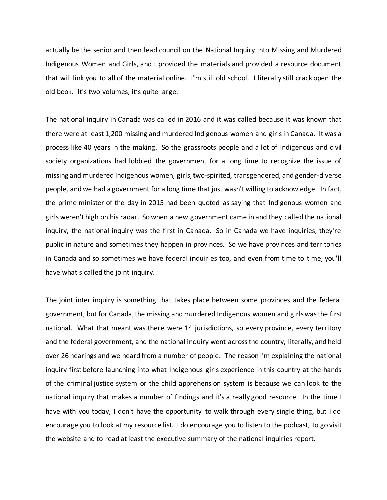actually be the senior and then lead council on the National Inquiry into Missing and Murdered Indigenous Women and Girls, and I provided the materials and provided a resource document that will link you to all of the material online. I'm still old school. I literally still crack open the old book. It's two volumes, it's quite large.

The national inquiry in Canada was called in 2016 and it was called because it was known that there were at least 1,200 missing and murdered Indigenous women and girls in Canada. It was a process like 40 years in the making. So the grassroots people and a lot of Indigenous and civil society organizations had lobbied the government for a long time to recognize the issue of missing and murdered Indigenous women, girls, two-spirited, transgendered, and gender-diverse people, and we had a government for a long time that just wasn't willing to acknowledge. In fact, the prime minister of the day in 2015 had been quoted as saying that Indigenous women and girls weren't high on his radar. So when a new government came in and they called the national inquiry, the national inquiry was the first in Canada. So in Canada we have inquiries; they're public in nature and sometimes they happen in provinces. So we have provinces and territories in Canada and so sometimes we have federal inquiries too, and even from time to time, you'll have what's called the joint inquiry.

The joint inter inquiry is something that takes place between some provinces and the federal government, but for Canada, the missing and murdered Indigenous women and girls was the first national. What that meant was there were 14 jurisdictions, so every province, every territory and the federal government, and the national inquiry went across the country, literally, and held over 26 hearings and we heard from a number of people. The reason I'm explaining the national inquiry first before launching into what Indigenous girls experience in this country at the hands of the criminal justice system or the child apprehension system is because we can look to the national inquiry that makes a number of findings and it's a really good resource. In the time I have with you today, I don't have the opportunity to walk through every single thing, but I do encourage you to look at my resource list. I do encourage you to listen to the podcast, to go visit the website and to read at least the executive summary of the national inquiries report.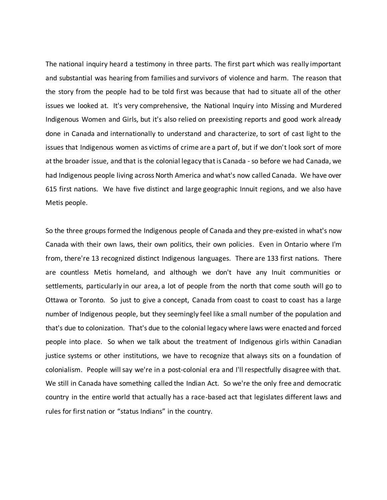The national inquiry heard a testimony in three parts. The first part which was really important and substantial was hearing from families and survivors of violence and harm. The reason that the story from the people had to be told first was because that had to situate all of the other issues we looked at. It's very comprehensive, the National Inquiry into Missing and Murdered Indigenous Women and Girls, but it's also relied on preexisting reports and good work already done in Canada and internationally to understand and characterize, to sort of cast light to the issues that Indigenous women as victims of crime are a part of, but if we don't look sort of more at the broader issue, and that is the colonial legacy that is Canada -so before we had Canada, we had Indigenous people living across North America and what's now called Canada. We have over 615 first nations. We have five distinct and large geographic Innuit regions, and we also have Metis people.

So the three groups formed the Indigenous people of Canada and they pre-existed in what's now Canada with their own laws, their own politics, their own policies. Even in Ontario where I'm from, there're 13 recognized distinct Indigenous languages. There are 133 first nations. There are countless Metis homeland, and although we don't have any Inuit communities or settlements, particularly in our area, a lot of people from the north that come south will go to Ottawa or Toronto. So just to give a concept, Canada from coast to coast to coast has a large number of Indigenous people, but they seemingly feel like a small number of the population and that's due to colonization. That's due to the colonial legacy where laws were enacted and forced people into place. So when we talk about the treatment of Indigenous girls within Canadian justice systems or other institutions, we have to recognize that always sits on a foundation of colonialism. People will say we're in a post-colonial era and I'll respectfully disagree with that. We still in Canada have something called the Indian Act. So we're the only free and democratic country in the entire world that actually has a race-based act that legislates different laws and rules for first nation or "status Indians" in the country.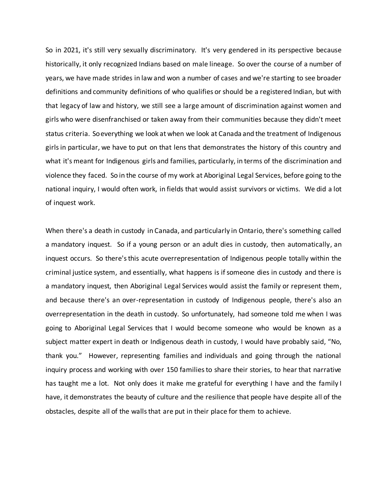So in 2021, it's still very sexually discriminatory. It's very gendered in its perspective because historically, it only recognized Indians based on male lineage. So over the course of a number of years, we have made strides in law and won a number of cases and we're starting to see broader definitions and community definitions of who qualifies or should be a registered Indian, but with that legacy of law and history, we still see a large amount of discrimination against women and girls who were disenfranchised or taken away from their communities because they didn't meet status criteria. Soeverything we look at when we look at Canada and the treatment of Indigenous girls in particular, we have to put on that lens that demonstrates the history of this country and what it's meant for Indigenous girls and families, particularly, in terms of the discrimination and violence they faced. So in the course of my work at Aboriginal Legal Services, before going to the national inquiry, I would often work, in fields that would assist survivors or victims. We did a lot of inquest work.

When there's a death in custody in Canada, and particularly in Ontario, there's something called a mandatory inquest. So if a young person or an adult dies in custody, then automatically, an inquest occurs. So there's this acute overrepresentation of Indigenous people totally within the criminal justice system, and essentially, what happens is if someone dies in custody and there is a mandatory inquest, then Aboriginal Legal Services would assist the family or represent them, and because there's an over-representation in custody of Indigenous people, there's also an overrepresentation in the death in custody. So unfortunately, had someone told me when I was going to Aboriginal Legal Services that I would become someone who would be known as a subject matter expert in death or Indigenous death in custody, I would have probably said, "No, thank you." However, representing families and individuals and going through the national inquiry process and working with over 150 families to share their stories, to hear that narrative has taught me a lot. Not only does it make me grateful for everything I have and the family I have, it demonstrates the beauty of culture and the resilience that people have despite all of the obstacles, despite all of the walls that are put in their place for them to achieve.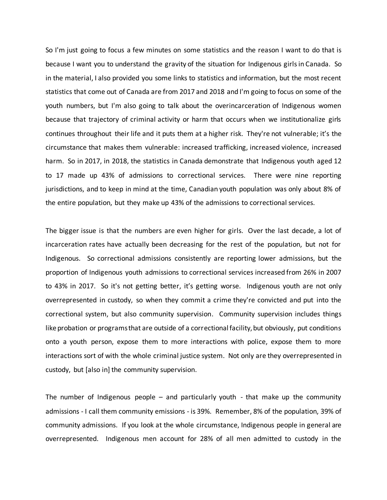So I'm just going to focus a few minutes on some statistics and the reason I want to do that is because I want you to understand the gravity of the situation for Indigenous girls in Canada. So in the material, I also provided you some links to statistics and information, but the most recent statistics that come out of Canada are from 2017 and 2018 and I'm going to focus on some of the youth numbers, but I'm also going to talk about the overincarceration of Indigenous women because that trajectory of criminal activity or harm that occurs when we institutionalize girls continues throughout their life and it puts them at a higher risk. They're not vulnerable; it's the circumstance that makes them vulnerable: increased trafficking, increased violence, increased harm. So in 2017, in 2018, the statistics in Canada demonstrate that Indigenous youth aged 12 to 17 made up 43% of admissions to correctional services. There were nine reporting jurisdictions, and to keep in mind at the time, Canadian youth population was only about 8% of the entire population, but they make up 43% of the admissions to correctional services.

The bigger issue is that the numbers are even higher for girls. Over the last decade, a lot of incarceration rates have actually been decreasing for the rest of the population, but not for Indigenous. So correctional admissions consistently are reporting lower admissions, but the proportion of Indigenous youth admissions to correctional services increased from 26% in 2007 to 43% in 2017. So it's not getting better, it's getting worse. Indigenous youth are not only overrepresented in custody, so when they commit a crime they're convicted and put into the correctional system, but also community supervision. Community supervision includes things like probation or programs that are outside of a correctional facility, but obviously, put conditions onto a youth person, expose them to more interactions with police, expose them to more interactions sort of with the whole criminal justice system. Not only are they overrepresented in custody, but [also in] the community supervision.

The number of Indigenous people – and particularly youth - that make up the community admissions - I call them community emissions - is 39%. Remember, 8% of the population, 39% of community admissions. If you look at the whole circumstance, Indigenous people in general are overrepresented. Indigenous men account for 28% of all men admitted to custody in the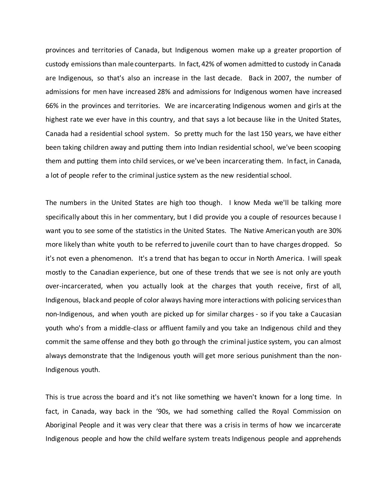provinces and territories of Canada, but Indigenous women make up a greater proportion of custody emissions than male counterparts. In fact, 42% of women admitted to custody in Canada are Indigenous, so that's also an increase in the last decade. Back in 2007, the number of admissions for men have increased 28% and admissions for Indigenous women have increased 66% in the provinces and territories. We are incarcerating Indigenous women and girls at the highest rate we ever have in this country, and that says a lot because like in the United States, Canada had a residential school system. So pretty much for the last 150 years, we have either been taking children away and putting them into Indian residential school, we've been scooping them and putting them into child services, or we've been incarcerating them. In fact, in Canada, a lot of people refer to the criminal justice system as the new residential school.

The numbers in the United States are high too though. I know Meda we'll be talking more specifically about this in her commentary, but I did provide you a couple of resources because I want you to see some of the statistics in the United States. The Native American youth are 30% more likely than white youth to be referred to juvenile court than to have charges dropped. So it's not even a phenomenon. It's a trend that has began to occur in North America. I will speak mostly to the Canadian experience, but one of these trends that we see is not only are youth over-incarcerated, when you actually look at the charges that youth receive, first of all, Indigenous, black and people of color always having more interactions with policing services than non-Indigenous, and when youth are picked up for similar charges - so if you take a Caucasian youth who's from a middle-class or affluent family and you take an Indigenous child and they commit the same offense and they both go through the criminal justice system, you can almost always demonstrate that the Indigenous youth will get more serious punishment than the non-Indigenous youth.

This is true across the board and it's not like something we haven't known for a long time. In fact, in Canada, way back in the '90s, we had something called the Royal Commission on Aboriginal People and it was very clear that there was a crisis in terms of how we incarcerate Indigenous people and how the child welfare system treats Indigenous people and apprehends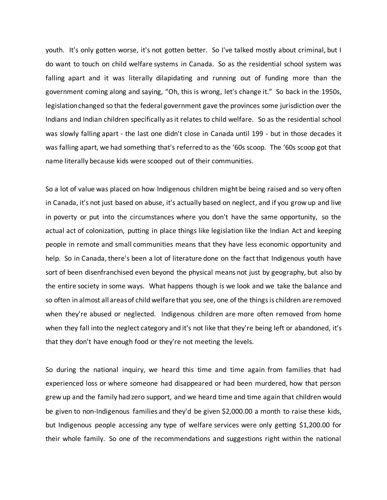youth. It's only gotten worse, it's not gotten better. So I've talked mostly about criminal, but I do want to touch on child welfare systems in Canada. So as the residential school system was falling apart and it was literally dilapidating and running out of funding more than the government coming along and saying, "Oh, this is wrong, let's change it." So back in the 1950s, legislation changed so that the federal government gave the provinces some jurisdiction over the Indians and Indian children specifically as it relates to child welfare. So as the residential school was slowly falling apart - the last one didn't close in Canada until 199 - but in those decades it was falling apart, we had something that's referred to as the '60s scoop. The '60s scoop got that name literally because kids were scooped out of their communities.

So a lot of value was placed on how Indigenous children might be being raised and so very often in Canada, it's not just based on abuse, it's actually based on neglect, and if you grow up and live in poverty or put into the circumstances where you don't have the same opportunity, so the actual act of colonization, putting in place things like legislation like the Indian Act and keeping people in remote and small communities means that they have less economic opportunity and help. So in Canada, there's been a lot of literature done on the fact that Indigenous youth have sort of been disenfranchised even beyond the physical means not just by geography, but also by the entire society in some ways. What happens though is we look and we take the balance and so often in almost all areas of child welfare that you see, one of the things is children are removed when they're abused or neglected. Indigenous children are more often removed from home when they fall into the neglect category and it's not like that they're being left or abandoned, it's that they don't have enough food or they're not meeting the levels.

So during the national inquiry, we heard this time and time again from families that had experienced loss or where someone had disappeared or had been murdered, how that person grew up and the family had zero support, and we heard time and time again that children would be given to non-Indigenous families and they'd be given \$2,000.00 a month to raise these kids, but Indigenous people accessing any type of welfare services were only getting \$1,200.00 for their whole family. So one of the recommendations and suggestions right within the national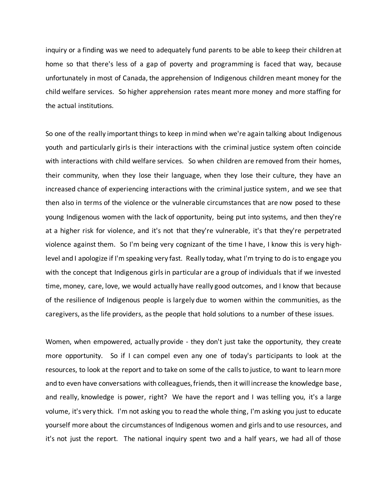inquiry or a finding was we need to adequately fund parents to be able to keep their children at home so that there's less of a gap of poverty and programming is faced that way, because unfortunately in most of Canada, the apprehension of Indigenous children meant money for the child welfare services. So higher apprehension rates meant more money and more staffing for the actual institutions.

So one of the really important things to keep in mind when we're again talking about Indigenous youth and particularly girls is their interactions with the criminal justice system often coincide with interactions with child welfare services. So when children are removed from their homes, their community, when they lose their language, when they lose their culture, they have an increased chance of experiencing interactions with the criminal justice system, and we see that then also in terms of the violence or the vulnerable circumstances that are now posed to these young Indigenous women with the lack of opportunity, being put into systems, and then they're at a higher risk for violence, and it's not that they're vulnerable, it's that they're perpetrated violence against them. So I'm being very cognizant of the time I have, I know this is very highlevel and I apologize if I'm speaking very fast. Really today, what I'm trying to do is to engage you with the concept that Indigenous girls in particular are a group of individuals that if we invested time, money, care, love, we would actually have really good outcomes, and I know that because of the resilience of Indigenous people is largely due to women within the communities, as the caregivers, as the life providers, as the people that hold solutions to a number of these issues.

Women, when empowered, actually provide - they don't just take the opportunity, they create more opportunity. So if I can compel even any one of today's participants to look at the resources, to look at the report and to take on some of the calls to justice, to want to learn more and to even have conversations with colleagues, friends, then it will increase the knowledge base, and really, knowledge is power, right? We have the report and I was telling you, it's a large volume, it's very thick. I'm not asking you to read the whole thing, I'm asking you just to educate yourself more about the circumstances of Indigenous women and girls and to use resources, and it's not just the report. The national inquiry spent two and a half years, we had all of those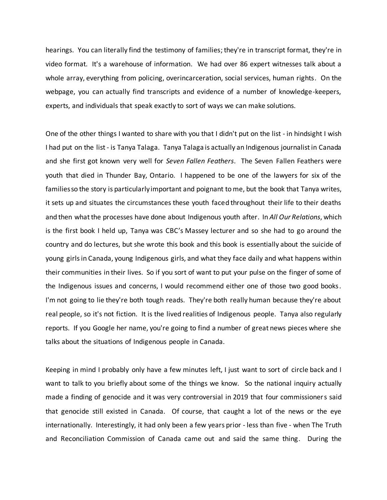hearings. You can literally find the testimony of families; they're in transcript format, they're in video format. It's a warehouse of information. We had over 86 expert witnesses talk about a whole array, everything from policing, overincarceration, social services, human rights. On the webpage, you can actually find transcripts and evidence of a number of knowledge-keepers, experts, and individuals that speak exactly to sort of ways we can make solutions.

One of the other things I wanted to share with you that I didn't put on the list - in hindsight I wish I had put on the list - is Tanya Talaga. Tanya Talaga is actually an Indigenous journalist in Canada and she first got known very well for *Seven Fallen Feathers*. The Seven Fallen Feathers were youth that died in Thunder Bay, Ontario. I happened to be one of the lawyers for six of the families so the story is particularly important and poignant to me, but the book that Tanya writes, it sets up and situates the circumstances these youth faced throughout their life to their deaths and then what the processes have done about Indigenous youth after. In *All Our Relations*, which is the first book I held up, Tanya was CBC's Massey lecturer and so she had to go around the country and do lectures, but she wrote this book and this book is essentially about the suicide of young girls in Canada, young Indigenous girls, and what they face daily and what happens within their communities in their lives. So if you sort of want to put your pulse on the finger of some of the Indigenous issues and concerns, I would recommend either one of those two good books. I'm not going to lie they're both tough reads. They're both really human because they're about real people, so it's not fiction. It is the lived realities of Indigenous people. Tanya also regularly reports. If you Google her name, you're going to find a number of great news pieces where she talks about the situations of Indigenous people in Canada.

Keeping in mind I probably only have a few minutes left, I just want to sort of circle back and I want to talk to you briefly about some of the things we know. So the national inquiry actually made a finding of genocide and it was very controversial in 2019 that four commissioners said that genocide still existed in Canada. Of course, that caught a lot of the news or the eye internationally. Interestingly, it had only been a few years prior - less than five - when The Truth and Reconciliation Commission of Canada came out and said the same thing. During the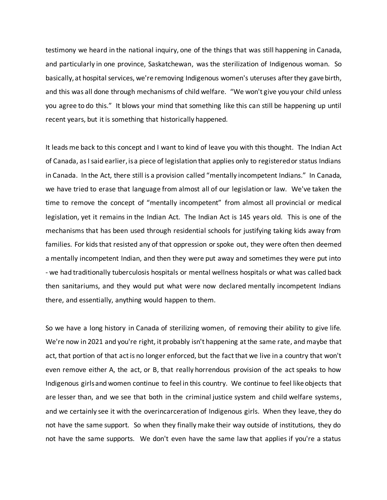testimony we heard in the national inquiry, one of the things that was still happening in Canada, and particularly in one province, Saskatchewan, was the sterilization of Indigenous woman. So basically, at hospital services, we're removing Indigenous women's uteruses after they gave birth, and this was all done through mechanisms of child welfare. "We won't give you your child unless you agree to do this." It blows your mind that something like this can still be happening up until recent years, but it is something that historically happened.

It leads me back to this concept and I want to kind of leave you with this thought. The Indian Act of Canada, as I said earlier, is a piece of legislation that applies only to registered or status Indians in Canada. In the Act, there still is a provision called "mentally incompetent Indians." In Canada, we have tried to erase that language from almost all of our legislation or law. We've taken the time to remove the concept of "mentally incompetent" from almost all provincial or medical legislation, yet it remains in the Indian Act. The Indian Act is 145 years old. This is one of the mechanisms that has been used through residential schools for justifying taking kids away from families. For kids that resisted any of that oppression or spoke out, they were often then deemed a mentally incompetent Indian, and then they were put away and sometimes they were put into - we had traditionally tuberculosis hospitals or mental wellness hospitals or what was called back then sanitariums, and they would put what were now declared mentally incompetent Indians there, and essentially, anything would happen to them.

So we have a long history in Canada of sterilizing women, of removing their ability to give life. We're now in 2021 and you're right, it probably isn't happening at the same rate, and maybe that act, that portion of that act is no longer enforced, but the fact that we live in a country that won't even remove either A, the act, or B, that really horrendous provision of the act speaks to how Indigenous girls and women continue to feel in this country. We continue to feel like objects that are lesser than, and we see that both in the criminal justice system and child welfare systems, and we certainly see it with the overincarceration of Indigenous girls. When they leave, they do not have the same support. So when they finally make their way outside of institutions, they do not have the same supports. We don't even have the same law that applies if you're a status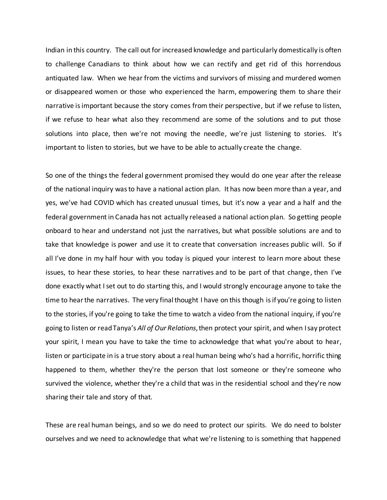Indian in this country. The call out for increased knowledge and particularly domestically is often to challenge Canadians to think about how we can rectify and get rid of this horrendous antiquated law. When we hear from the victims and survivors of missing and murdered women or disappeared women or those who experienced the harm, empowering them to share their narrative is important because the story comes from their perspective, but if we refuse to listen, if we refuse to hear what also they recommend are some of the solutions and to put those solutions into place, then we're not moving the needle, we're just listening to stories. It's important to listen to stories, but we have to be able to actually create the change.

So one of the things the federal government promised they would do one year after the release of the national inquiry was to have a national action plan. It has now been more than a year, and yes, we've had COVID which has created unusual times, but it's now a year and a half and the federal government in Canada has not actually released a national action plan. So getting people onboard to hear and understand not just the narratives, but what possible solutions are and to take that knowledge is power and use it to create that conversation increases public will. So if all I've done in my half hour with you today is piqued your interest to learn more about these issues, to hear these stories, to hear these narratives and to be part of that change, then I've done exactly what I set out to do starting this, and I would strongly encourage anyone to take the time to hear the narratives. The very final thought I have on this though is if you're going to listen to the stories, if you're going to take the time to watch a video from the national inquiry, if you're going to listen or read Tanya's *All of Our Relations*,then protect your spirit, and when I say protect your spirit, I mean you have to take the time to acknowledge that what you're about to hear, listen or participate in is a true story about a real human being who's had a horrific, horrific thing happened to them, whether they're the person that lost someone or they're someone who survived the violence, whether they're a child that was in the residential school and they're now sharing their tale and story of that.

These are real human beings, and so we do need to protect our spirits. We do need to bolster ourselves and we need to acknowledge that what we're listening to is something that happened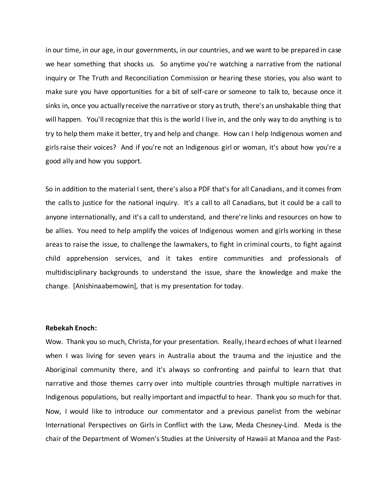in our time, in our age, in our governments, in our countries, and we want to be prepared in case we hear something that shocks us. So anytime you're watching a narrative from the national inquiry or The Truth and Reconciliation Commission or hearing these stories, you also want to make sure you have opportunities for a bit of self-care or someone to talk to, because once it sinks in, once you actually receive the narrative or story as truth, there's an unshakable thing that will happen. You'll recognize that this is the world I live in, and the only way to do anything is to try to help them make it better, try and help and change. How can I help Indigenous women and girls raise their voices? And if you're not an Indigenous girl or woman, it's about how you're a good ally and how you support.

So in addition to the material I sent, there's also a PDF that's for all Canadians, and it comes from the calls to justice for the national inquiry. It's a call to all Canadians, but it could be a call to anyone internationally, and it's a call to understand, and there're links and resources on how to be allies. You need to help amplify the voices of Indigenous women and girls working in these areas to raise the issue, to challenge the lawmakers, to fight in criminal courts, to fight against child apprehension services, and it takes entire communities and professionals of multidisciplinary backgrounds to understand the issue, share the knowledge and make the change. [Anishinaabemowin], that is my presentation for today.

#### **Rebekah Enoch:**

Wow. Thank you so much, Christa, for your presentation. Really,I heard echoes of what I learned when I was living for seven years in Australia about the trauma and the injustice and the Aboriginal community there, and it's always so confronting and painful to learn that that narrative and those themes carry over into multiple countries through multiple narratives in Indigenous populations, but really important and impactful to hear. Thank you so much for that. Now, I would like to introduce our commentator and a previous panelist from the webinar International Perspectives on Girls in Conflict with the Law, Meda Chesney-Lind. Meda is the chair of the Department of Women's Studies at the University of Hawaii at Manoa and the Past-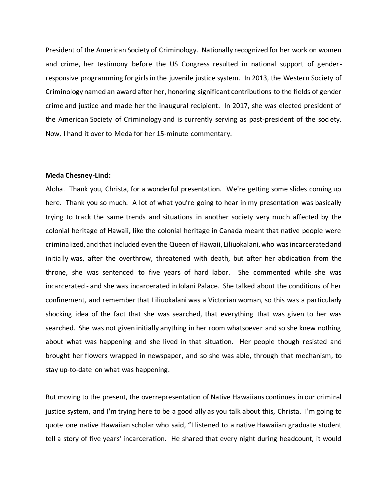President of the American Society of Criminology. Nationally recognized for her work on women and crime, her testimony before the US Congress resulted in national support of genderresponsive programming for girls in the juvenile justice system. In 2013, the Western Society of Criminology named an award after her, honoring significant contributions to the fields of gender crime and justice and made her the inaugural recipient. In 2017, she was elected president of the American Society of Criminology and is currently serving as past-president of the society. Now, I hand it over to Meda for her 15-minute commentary.

## **Meda Chesney-Lind:**

Aloha. Thank you, Christa, for a wonderful presentation. We're getting some slides coming up here. Thank you so much. A lot of what you're going to hear in my presentation was basically trying to track the same trends and situations in another society very much affected by the colonial heritage of Hawaii, like the colonial heritage in Canada meant that native people were criminalized, and that included even the Queen of Hawaii, Liliuokalani, who was incarcerated and initially was, after the overthrow, threatened with death, but after her abdication from the throne, she was sentenced to five years of hard labor. She commented while she was incarcerated - and she was incarcerated in Iolani Palace. She talked about the conditions of her confinement, and remember that Liliuokalani was a Victorian woman, so this was a particularly shocking idea of the fact that she was searched, that everything that was given to her was searched. She was not given initially anything in her room whatsoever and so she knew nothing about what was happening and she lived in that situation. Her people though resisted and brought her flowers wrapped in newspaper, and so she was able, through that mechanism, to stay up-to-date on what was happening.

But moving to the present, the overrepresentation of Native Hawaiians continues in our criminal justice system, and I'm trying here to be a good ally as you talk about this, Christa. I'm going to quote one native Hawaiian scholar who said, "I listened to a native Hawaiian graduate student tell a story of five years' incarceration. He shared that every night during headcount, it would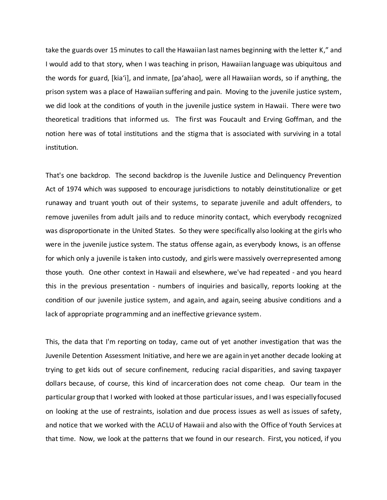take the guards over 15 minutes to call the Hawaiian last names beginning with the letter K," and I would add to that story, when I was teaching in prison, Hawaiian language was ubiquitous and the words for guard, [kiaʻi], and inmate, [paʻahao], were all Hawaiian words, so if anything, the prison system was a place of Hawaiian suffering and pain. Moving to the juvenile justice system, we did look at the conditions of youth in the juvenile justice system in Hawaii. There were two theoretical traditions that informed us. The first was Foucault and Erving Goffman, and the notion here was of total institutions and the stigma that is associated with surviving in a total institution.

That's one backdrop. The second backdrop is the Juvenile Justice and Delinquency Prevention Act of 1974 which was supposed to encourage jurisdictions to notably deinstitutionalize or get runaway and truant youth out of their systems, to separate juvenile and adult offenders, to remove juveniles from adult jails and to reduce minority contact, which everybody recognized was disproportionate in the United States. So they were specifically also looking at the girls who were in the juvenile justice system. The status offense again, as everybody knows, is an offense for which only a juvenile is taken into custody, and girls were massively overrepresented among those youth. One other context in Hawaii and elsewhere, we've had repeated - and you heard this in the previous presentation - numbers of inquiries and basically, reports looking at the condition of our juvenile justice system, and again, and again, seeing abusive conditions and a lack of appropriate programming and an ineffective grievance system.

This, the data that I'm reporting on today, came out of yet another investigation that was the Juvenile Detention Assessment Initiative, and here we are again in yet another decade looking at trying to get kids out of secure confinement, reducing racial disparities, and saving taxpayer dollars because, of course, this kind of incarceration does not come cheap. Our team in the particular group that I worked with looked at those particular issues, and I was especially focused on looking at the use of restraints, isolation and due process issues as well as issues of safety, and notice that we worked with the ACLU of Hawaii and also with the Office of Youth Services at that time. Now, we look at the patterns that we found in our research. First, you noticed, if you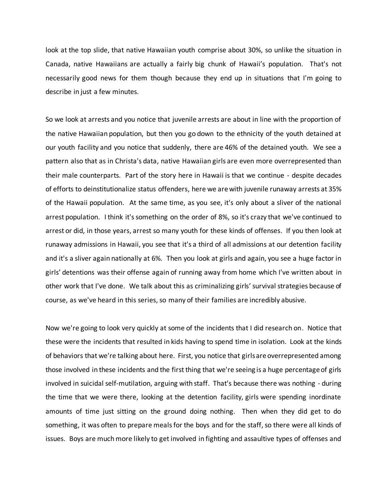look at the top slide, that native Hawaiian youth comprise about 30%, so unlike the situation in Canada, native Hawaiians are actually a fairly big chunk of Hawaii's population. That's not necessarily good news for them though because they end up in situations that I'm going to describe in just a few minutes.

So we look at arrests and you notice that juvenile arrests are about in line with the proportion of the native Hawaiian population, but then you go down to the ethnicity of the youth detained at our youth facility and you notice that suddenly, there are 46% of the detained youth. We see a pattern also that as in Christa's data, native Hawaiian girls are even more overrepresented than their male counterparts. Part of the story here in Hawaii is that we continue - despite decades of efforts to deinstitutionalize status offenders, here we are with juvenile runaway arrests at 35% of the Hawaii population. At the same time, as you see, it's only about a sliver of the national arrest population. I think it's something on the order of 8%, so it's crazy that we've continued to arrest or did, in those years, arrest so many youth for these kinds of offenses. If you then look at runaway admissions in Hawaii, you see that it's a third of all admissions at our detention facility and it's a sliver again nationally at 6%. Then you look at girls and again, you see a huge factor in girls' detentions was their offense again of running away from home which I've written about in other work that I've done. We talk about this as criminalizing girls'survival strategies because of course, as we've heard in this series, so many of their families are incredibly abusive.

Now we're going to look very quickly at some of the incidents that I did research on. Notice that these were the incidents that resulted in kids having to spend time in isolation. Look at the kinds of behaviors that we're talking about here. First, you notice that girls are overrepresented among those involved in these incidents and the first thing that we're seeing is a huge percentage of girls involved in suicidal self-mutilation, arguing with staff. That's because there was nothing - during the time that we were there, looking at the detention facility, girls were spending inordinate amounts of time just sitting on the ground doing nothing. Then when they did get to do something, it was often to prepare meals for the boys and for the staff, so there were all kinds of issues. Boys are much more likely to get involved in fighting and assaultive types of offenses and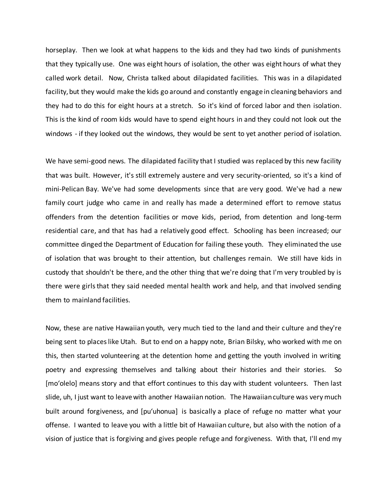horseplay. Then we look at what happens to the kids and they had two kinds of punishments that they typically use. One was eight hours of isolation, the other was eight hours of what they called work detail. Now, Christa talked about dilapidated facilities. This was in a dilapidated facility, but they would make the kids go around and constantly engage in cleaning behaviors and they had to do this for eight hours at a stretch. So it's kind of forced labor and then isolation. This is the kind of room kids would have to spend eight hours in and they could not look out the windows - if they looked out the windows, they would be sent to yet another period of isolation.

We have semi-good news. The dilapidated facility that I studied was replaced by this new facility that was built. However, it's still extremely austere and very security-oriented, so it's a kind of mini-Pelican Bay. We've had some developments since that are very good. We've had a new family court judge who came in and really has made a determined effort to remove status offenders from the detention facilities or move kids, period, from detention and long-term residential care, and that has had a relatively good effect. Schooling has been increased; our committee dinged the Department of Education for failing these youth. They eliminated the use of isolation that was brought to their attention, but challenges remain. We still have kids in custody that shouldn't be there, and the other thing that we're doing that I'm very troubled by is there were girls that they said needed mental health work and help, and that involved sending them to mainland facilities.

Now, these are native Hawaiian youth, very much tied to the land and their culture and they're being sent to places like Utah. But to end on a happy note, Brian Bilsky, who worked with me on this, then started volunteering at the detention home and getting the youth involved in writing poetry and expressing themselves and talking about their histories and their stories. So [moʻolelo] means story and that effort continues to this day with student volunteers. Then last slide, uh, I just want to leave with another Hawaiian notion. The Hawaiian culture was very much built around forgiveness, and [puʻuhonua] is basically a place of refuge no matter what your offense. I wanted to leave you with a little bit of Hawaiian culture, but also with the notion of a vision of justice that is forgiving and gives people refuge and forgiveness. With that, I'll end my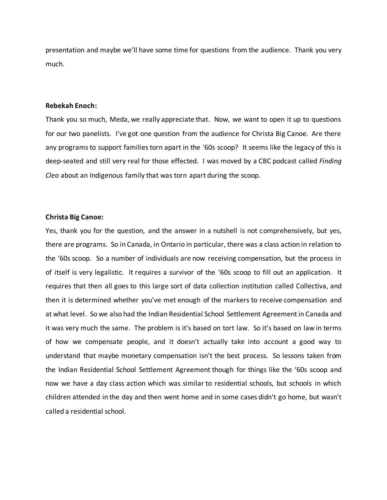presentation and maybe we'll have some time for questions from the audience. Thank you very much.

# **Rebekah Enoch:**

Thank you so much, Meda, we really appreciate that. Now, we want to open it up to questions for our two panelists. I've got one question from the audience for Christa Big Canoe. Are there any programs to support families torn apart in the '60s scoop? It seems like the legacy of this is deep-seated and still very real for those effected. I was moved by a CBC podcast called *Finding Cleo* about an Indigenous family that was torn apart during the scoop.

### **Christa Big Canoe:**

Yes, thank you for the question, and the answer in a nutshell is not comprehensively, but yes, there are programs. So in Canada, in Ontario in particular, there was a class action in relation to the '60s scoop. So a number of individuals are now receiving compensation, but the process in of itself is very legalistic. It requires a survivor of the '60s scoop to fill out an application. It requires that then all goes to this large sort of data collection institution called Collectiva, and then it is determined whether you've met enough of the markers to receive compensation and at what level. So we also had the Indian Residential School Settlement Agreement in Canada and it was very much the same. The problem is it's based on tort law. So it's based on law in terms of how we compensate people, and it doesn't actually take into account a good way to understand that maybe monetary compensation isn't the best process. So lessons taken from the Indian Residential School Settlement Agreement though for things like the '60s scoop and now we have a day class action which was similar to residential schools, but schools in which children attended in the day and then went home and in some cases didn't go home, but wasn't called a residential school.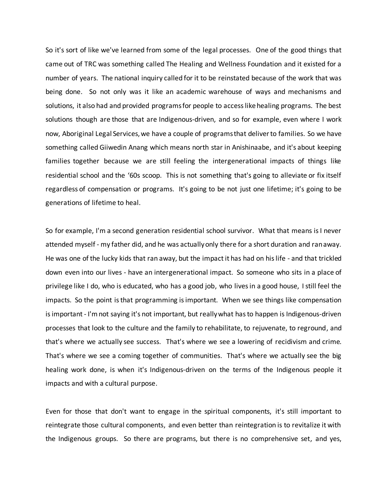So it's sort of like we've learned from some of the legal processes. One of the good things that came out of TRC was something called The Healing and Wellness Foundation and it existed for a number of years. The national inquiry called for it to be reinstated because of the work that was being done. So not only was it like an academic warehouse of ways and mechanisms and solutions, it also had and provided programs for people to access like healing programs. The best solutions though are those that are Indigenous-driven, and so for example, even where I work now, Aboriginal Legal Services, we have a couple of programs that deliver to families. So we have something called Giiwedin Anang which means north star in Anishinaabe, and it's about keeping families together because we are still feeling the intergenerational impacts of things like residential school and the '60s scoop. This is not something that's going to alleviate or fix itself regardless of compensation or programs. It's going to be not just one lifetime; it's going to be generations of lifetime to heal.

So for example, I'm a second generation residential school survivor. What that means is I never attended myself - my father did, and he was actually only there for a short duration and ran away. He was one of the lucky kids that ran away, but the impact it has had on his life - and that trickled down even into our lives - have an intergenerational impact. So someone who sits in a place of privilege like I do, who is educated, who has a good job, who lives in a good house, I still feel the impacts. So the point is that programming is important. When we see things like compensation is important - I'm not saying it's not important, but really what has to happen is Indigenous-driven processes that look to the culture and the family to rehabilitate, to rejuvenate, to reground, and that's where we actually see success. That's where we see a lowering of recidivism and crime. That's where we see a coming together of communities. That's where we actually see the big healing work done, is when it's Indigenous-driven on the terms of the Indigenous people it impacts and with a cultural purpose.

Even for those that don't want to engage in the spiritual components, it's still important to reintegrate those cultural components, and even better than reintegration is to revitalize it with the Indigenous groups. So there are programs, but there is no comprehensive set, and yes,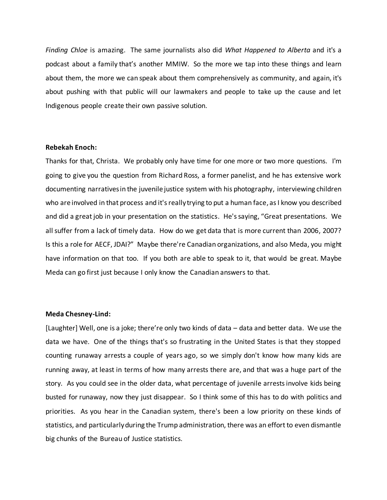*Finding Chloe* is amazing. The same journalists also did *What Happened to Alberta* and it's a podcast about a family that's another MMIW. So the more we tap into these things and learn about them, the more we can speak about them comprehensively as community, and again, it's about pushing with that public will our lawmakers and people to take up the cause and let Indigenous people create their own passive solution.

# **Rebekah Enoch:**

Thanks for that, Christa. We probably only have time for one more or two more questions. I'm going to give you the question from Richard Ross, a former panelist, and he has extensive work documenting narratives in the juvenile justice system with his photography, interviewing children who are involved in that process and it's really trying to put a human face, as I know you described and did a great job in your presentation on the statistics. He's saying, "Great presentations. We all suffer from a lack of timely data. How do we get data that is more current than 2006, 2007? Is this a role for AECF, JDAI?" Maybe there're Canadian organizations, and also Meda, you might have information on that too. If you both are able to speak to it, that would be great. Maybe Meda can go first just because I only know the Canadian answers to that.

#### **Meda Chesney-Lind:**

[Laughter] Well, one is a joke; there're only two kinds of data – data and better data. We use the data we have. One of the things that's so frustrating in the United States is that they stopped counting runaway arrests a couple of years ago, so we simply don't know how many kids are running away, at least in terms of how many arrests there are, and that was a huge part of the story. As you could see in the older data, what percentage of juvenile arrests involve kids being busted for runaway, now they just disappear. So I think some of this has to do with politics and priorities. As you hear in the Canadian system, there's been a low priority on these kinds of statistics, and particularly during the Trump administration, there was an effort to even dismantle big chunks of the Bureau of Justice statistics.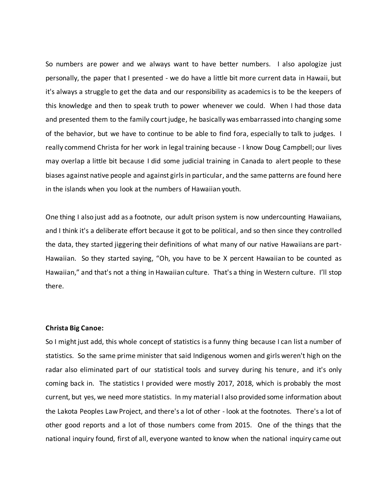So numbers are power and we always want to have better numbers. I also apologize just personally, the paper that I presented - we do have a little bit more current data in Hawaii, but it's always a struggle to get the data and our responsibility as academics is to be the keepers of this knowledge and then to speak truth to power whenever we could. When I had those data and presented them to the family court judge, he basically was embarrassed into changing some of the behavior, but we have to continue to be able to find fora, especially to talk to judges. I really commend Christa for her work in legal training because - I know Doug Campbell; our lives may overlap a little bit because I did some judicial training in Canada to alert people to these biases against native people and against girls in particular, and the same patterns are found here in the islands when you look at the numbers of Hawaiian youth.

One thing I also just add as a footnote, our adult prison system is now undercounting Hawaiians, and I think it's a deliberate effort because it got to be political, and so then since they controlled the data, they started jiggering their definitions of what many of our native Hawaiians are part-Hawaiian. So they started saying, "Oh, you have to be X percent Hawaiian to be counted as Hawaiian," and that's not a thing in Hawaiian culture. That's a thing in Western culture. I'll stop there.

### **Christa Big Canoe:**

So I might just add, this whole concept of statistics is a funny thing because I can list a number of statistics. So the same prime minister that said Indigenous women and girls weren't high on the radar also eliminated part of our statistical tools and survey during his tenure, and it's only coming back in. The statistics I provided were mostly 2017, 2018, which is probably the most current, but yes, we need more statistics. In my material I also provided some information about the Lakota Peoples Law Project, and there's a lot of other - look at the footnotes. There's a lot of other good reports and a lot of those numbers come from 2015. One of the things that the national inquiry found, first of all, everyone wanted to know when the national inquiry came out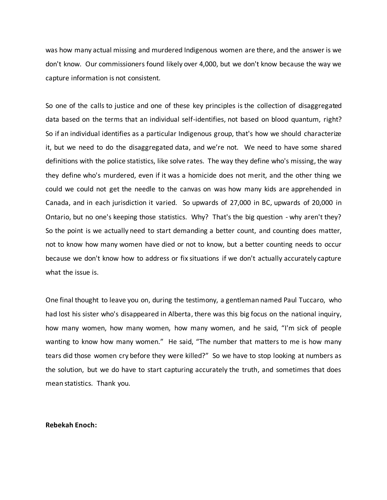was how many actual missing and murdered Indigenous women are there, and the answer is we don't know. Our commissioners found likely over 4,000, but we don't know because the way we capture information is not consistent.

So one of the calls to justice and one of these key principles is the collection of disaggregated data based on the terms that an individual self-identifies, not based on blood quantum, right? So if an individual identifies as a particular Indigenous group, that's how we should characterize it, but we need to do the disaggregated data, and we're not. We need to have some shared definitions with the police statistics, like solve rates. The way they define who's missing, the way they define who's murdered, even if it was a homicide does not merit, and the other thing we could we could not get the needle to the canvas on was how many kids are apprehended in Canada, and in each jurisdiction it varied. So upwards of 27,000 in BC, upwards of 20,000 in Ontario, but no one's keeping those statistics. Why? That's the big question - why aren't they? So the point is we actually need to start demanding a better count, and counting does matter, not to know how many women have died or not to know, but a better counting needs to occur because we don't know how to address or fix situations if we don't actually accurately capture what the issue is.

One final thought to leave you on, during the testimony, a gentleman named Paul Tuccaro, who had lost his sister who's disappeared in Alberta, there was this big focus on the national inquiry, how many women, how many women, how many women, and he said, "I'm sick of people wanting to know how many women." He said, "The number that matters to me is how many tears did those women cry before they were killed?" So we have to stop looking at numbers as the solution, but we do have to start capturing accurately the truth, and sometimes that does mean statistics. Thank you.

#### **Rebekah Enoch:**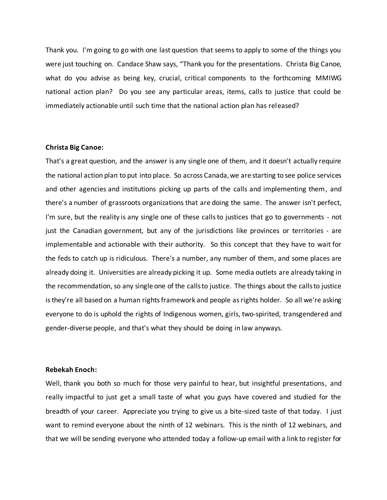Thank you. I'm going to go with one last question that seems to apply to some of the things you were just touching on. Candace Shaw says, "Thank you for the presentations. Christa Big Canoe, what do you advise as being key, crucial, critical components to the forthcoming MMIWG national action plan? Do you see any particular areas, items, calls to justice that could be immediately actionable until such time that the national action plan has released?

# **Christa Big Canoe:**

That's a great question, and the answer is any single one of them, and it doesn't actually require the national action plan to put into place. So across Canada, we are starting to see police services and other agencies and institutions picking up parts of the calls and implementing them, and there's a number of grassroots organizations that are doing the same. The answer isn't perfect, I'm sure, but the reality is any single one of these calls to justices that go to governments - not just the Canadian government, but any of the jurisdictions like provinces or territories - are implementable and actionable with their authority. So this concept that they have to wait for the feds to catch up is ridiculous. There's a number, any number of them, and some places are already doing it. Universities are already picking it up. Some media outlets are already taking in the recommendation, so any single one of the calls to justice. The things about the calls to justice is they're all based on a human rights framework and people as rights holder. So all we're asking everyone to do is uphold the rights of Indigenous women, girls, two-spirited, transgendered and gender-diverse people, and that's what they should be doing in law anyways.

#### **Rebekah Enoch:**

Well, thank you both so much for those very painful to hear, but insightful presentations, and really impactful to just get a small taste of what you guys have covered and studied for the breadth of your career. Appreciate you trying to give us a bite-sized taste of that today. I just want to remind everyone about the ninth of 12 webinars. This is the ninth of 12 webinars, and that we will be sending everyone who attended today a follow-up email with a link to register for